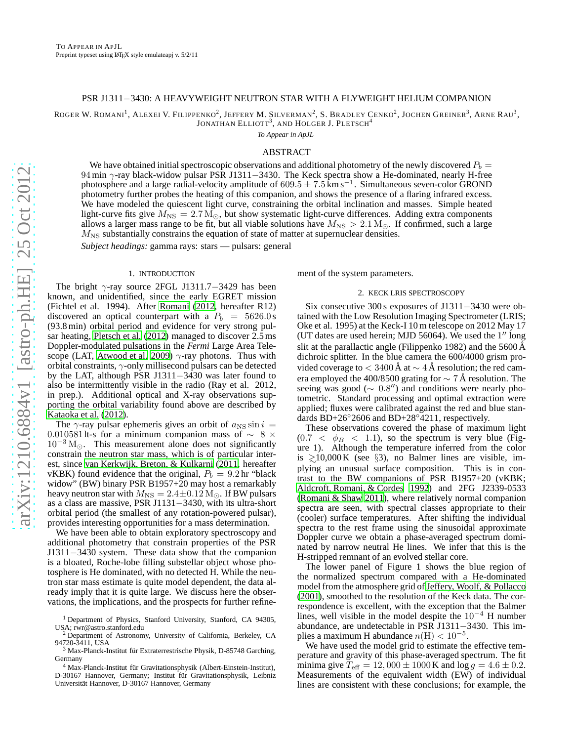## PSR J1311−3430: A HEAVYWEIGHT NEUTRON STAR WITH A FLYWEIGHT HELIUM COMPANION

ROGER W. ROMANI<sup>1</sup>, ALEXEI V. FILIPPENKO<sup>2</sup>, JEFFERY M. SILVERMAN<sup>2</sup>, S. BRADLEY CENKO<sup>2</sup>, JOCHEN GREINER<sup>3</sup>, ARNE RAU<sup>3</sup>,

JONATHAN  $\rm ELLIOTT^{3},$  and  $\rm HOLGER$  J.  $\rm PLETSCH^{4}$ 

*To Appear in ApJL*

# ABSTRACT

We have obtained initial spectroscopic observations and additional photometry of the newly discovered  $P_b =$ 94 min γ-ray black-widow pulsar PSR J1311−3430. The Keck spectra show a He-dominated, nearly H-free photosphere and a large radial-velocity amplitude of 609.5  $\pm$  7.5 km s<sup>-1</sup>. Simultaneous seven-color GROND photometry further probes the heating of this companion, and shows the presence of a flaring infrared excess. We have modeled the quiescent light curve, constraining the orbital inclination and masses. Simple heated light-curve fits give  $M_{\text{NS}} = 2.7 M_{\odot}$ , but show systematic light-curve differences. Adding extra components allows a larger mass range to be fit, but all viable solutions have  $M_{\rm NS} > 2.1 \,\rm M_{\odot}$ . If confirmed, such a large  $M<sub>NS</sub>$  substantially constrains the equation of state of matter at supernuclear densities.

*Subject headings:* gamma rays: stars — pulsars: general

### 1. INTRODUCTION

The bright  $\gamma$ -ray source 2FGL J1311.7−3429 has been known, and unidentified, since the early EGRET mission (Fichtel et al. 1994). After [Romani](#page-4-0) [\(2012,](#page-4-0) hereafter R12) discovered an optical counterpart with a  $P_b = 5626.0 s$ (93.8 min) orbital period and evidence for very strong pulsar heating, [Pletsch et al. \(2012\)](#page-4-1) managed to discover 2.5 ms Doppler-modulated pulsations in the *Fermi* Large Area Tele-scope (LAT, [Atwood et al. 2009\)](#page-4-2)  $\gamma$ -ray photons. Thus with orbital constraints, γ-only millisecond pulsars can be detected by the LAT, although PSR J1311−3430 was later found to also be intermittently visible in the radio (Ray et al. 2012, in prep.). Additional optical and X-ray observations supporting the orbital variability found above are described by [Kataoka et al.](#page-4-3) [\(2012\)](#page-4-3).

The  $\gamma$ -ray pulsar ephemeris gives an orbit of  $a_{\rm NS} \sin i =$ 0.0105811t-s for a minimum companion mass of  $\sim 8 \times$  $10^{-3}$  M<sub> $\odot$ </sub>. This measurement alone does not significantly constrain the neutron star mass, which is of particular interest, since [van Kerkwijk, Breton, & Kulkarni \(2011](#page-4-4), hereafter vKBK) found evidence that the original,  $P_b = 9.2$  hr "black" widow" (BW) binary PSR B1957+20 may host a remarkably heavy neutron star with  $M_{\text{NS}} = 2.4 \pm 0.12 \text{ M}_{\odot}$ . If BW pulsars as a class are massive, PSR J1131−3430, with its ultra-short orbital period (the smallest of any rotation-powered pulsar), provides interesting opportunities for a mass determination.

We have been able to obtain exploratory spectroscopy and additional photometry that constrain properties of the PSR J1311−3430 system. These data show that the companion is a bloated, Roche-lobe filling substellar object whose photosphere is He dominated, with no detected H. While the neutron star mass estimate is quite model dependent, the data already imply that it is quite large. We discuss here the observations, the implications, and the prospects for further refinement of the system parameters.

# 2. KECK LRIS SPECTROSCOPY

Six consecutive 300 s exposures of J1311−3430 were obtained with the Low Resolution Imaging Spectrometer (LRIS; Oke et al. 1995) at the Keck-I 10 m telescope on 2012 May 17 (UT dates are used herein; MJD 56064). We used the 1" long slit at the parallactic angle (Filippenko 1982) and the 5600 Å dichroic splitter. In the blue camera the 600/4000 grism provided coverage to  $< 3400 \text{ Å}$  at  $\sim 4 \text{ Å}$  resolution; the red camera employed the 400/8500 grating for  $\sim$  7 Å resolution. The seeing was good ( $\sim 0.8$ ") and conditions were nearly photometric. Standard processing and optimal extraction were applied; fluxes were calibrated against the red and blue standards BD+26◦2606 and BD+28◦4211, respectively.

These observations covered the phase of maximum light  $(0.7 < \phi_B < 1.1)$ , so the spectrum is very blue (Figure 1). Although the temperature inferred from the color is  $\geq 10,000 \text{ K}$  (see §3), no Balmer lines are visible, implying an unusual surface composition. This is in contrast to the BW companions of PSR B1957+20 (vKBK; [Aldcroft, Romani, & Cordes 1992\)](#page-4-5) and 2FG J2339-0533 [\(Romani & Shaw 2011](#page-4-6)), where relatively normal companion spectra are seen, with spectral classes appropriate to their (cooler) surface temperatures. After shifting the individual spectra to the rest frame using the sinusoidal approximate Doppler curve we obtain a phase-averaged spectrum dominated by narrow neutral He lines. We infer that this is the H-stripped remnant of an evolved stellar core.

The lower panel of Figure 1 shows the blue region of the normalized spectrum compared with a He-dominated model from the atmosphere grid of [Jeffery, Woolf, & Pollacco](#page-4-7) [\(2001\)](#page-4-7), smoothed to the resolution of the Keck data. The correspondence is excellent, with the exception that the Balmer lines, well visible in the model despite the  $10^{-4}$  H number abundance, are undetectable in PSR J1311−3430. This implies a maximum H abundance  $n(H) < 10^{-5}$ .

We have used the model grid to estimate the effective temperature and gravity of this phase-averaged spectrum. The fit minima give  $T_{\text{eff}} = 12,000 \pm 1000$  K and  $\log g = 4.6 \pm 0.2$ . Measurements of the equivalent width (EW) of individual lines are consistent with these conclusions; for example, the

<sup>&</sup>lt;sup>1</sup> Department of Physics, Stanford University, Stanford, CA 94305, USA; rwr@astro.stanford.edu

<sup>2</sup> Department of Astronomy, University of California, Berkeley, CA 94720-3411, USA<br><sup>3</sup> Max-Planck-Institut für Extraterrestrische Physik, D-85748 Garching,

Germany

Max-Planck-Institut für Gravitationsphysik (Albert-Einstein-Institut), D-30167 Hannover, Germany; Institut für Gravitationsphysik, Leibniz Universität Hannover, D-30167 Hannover, Germany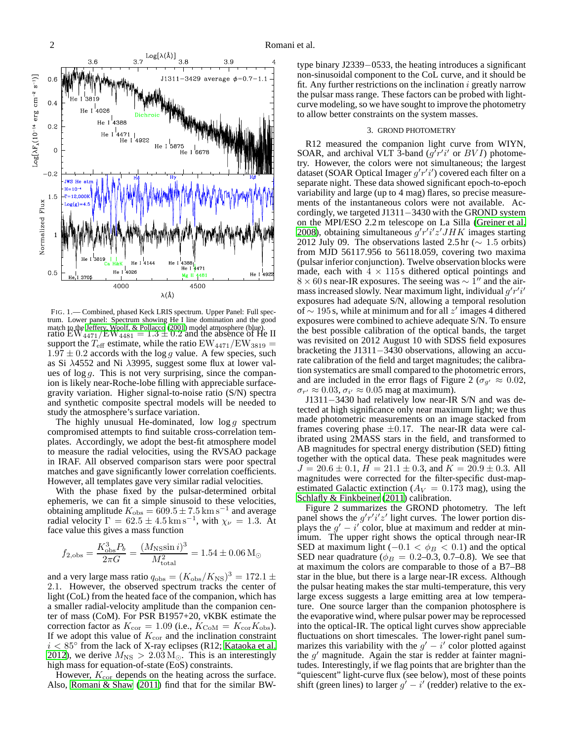

FIG. 1.— Combined, phased Keck LRIS spectrum. Upper Panel: Full spectrum. Lower panel: Spectrum showing He I line domination and the good match to the [Jeffery, Woolf, & Pollacco](#page-4-7) [\(2001](#page-4-7)) model atmosphere (blue).<br>ratio  ${\rm EW}_{4471}/{\rm EW}_{4481}=1.3\pm0.2$  and the absence of He II support the  $T_{\text{eff}}$  estimate, while the ratio  $\text{EW}_{4471}/\text{EW}_{3819}$  =  $1.97 \pm 0.2$  accords with the log g value. A few species, such as Si λ4552 and Ni λ3995, suggest some flux at lower values of  $\log g$ . This is not very surprising, since the companion is likely near-Roche-lobe filling with appreciable surfacegravity variation. Higher signal-to-noise ratio (S/N) spectra and synthetic composite spectral models will be needed to study the atmosphere's surface variation.

The highly unusual He-dominated, low  $\log g$  spectrum compromised attempts to find suitable cross-correlation templates. Accordingly, we adopt the best-fit atmosphere model to measure the radial velocities, using the RVSAO package in IRAF. All observed comparison stars were poor spectral matches and gave significantly lower correlation coefficients. However, all templates gave very similar radial velocities.

With the phase fixed by the pulsar-determined orbital ephemeris, we can fit a simple sinusoid to these velocities, obtaining amplitude  $K_{\text{obs}} = 609.5 \pm 7.5 \text{ km s}^{-1}$  and average radial velocity  $\Gamma = 62.5 \pm 4.5 \,\mathrm{km \, s^{-1}}$ , with  $\chi_{\nu} = 1.3$ . At face value this gives a mass function

$$
f_{2,obs} = \frac{K_{obs}^3 P_b}{2\pi G} = \frac{(M_{\rm NS} \sin i)^3}{M_{\rm total}^2} = 1.54 \pm 0.06 \,\rm M_{\odot}
$$

and a very large mass ratio  $q_{\text{obs}} = (K_{\text{obs}}/K_{\text{NS}})^3 = 172.1 \pm 100$ 2.1. However, the observed spectrum tracks the center of light (CoL) from the heated face of the companion, which has a smaller radial-velocity amplitude than the companion center of mass (CoM). For PSR B1957+20, vKBK estimate the correction factor as  $K_{\text{cor}} = 1.09$  (i.e.,  $K_{\text{CoM}} = K_{\text{cor}} K_{\text{obs}}$ ). If we adopt this value of  $K_{cor}$  and the inclination constraint  $i < 85^{\circ}$  from the lack of X-ray eclipses (R12; [Kataoka et al.](#page-4-3) [2012\)](#page-4-3), we derive  $M_{\text{NS}} > 2.03 \,\text{M}_{\odot}$ . This is an interestingly high mass for equation-of-state (EoS) constraints.

However,  $K_{\text{cor}}$  depends on the heating across the surface. Also, [Romani & Shaw \(2011](#page-4-6)) find that for the similar BW- type binary J2339−0533, the heating introduces a significant non-sinusoidal component to the CoL curve, and it should be fit. Any further restrictions on the inclination  $i$  greatly narrow the pulsar mass range. These factors can be probed with lightcurve modeling, so we have sought to improve the photometry to allow better constraints on the system masses.

#### 3. GROND PHOTOMETRY

R12 measured the companion light curve from WIYN, SOAR, and archival VLT 3-band  $(g'r'i'$  or  $BVI$ ) photometry. However, the colors were not simultaneous; the largest dataset (SOAR Optical Imager  $g'r'i'$ ) covered each filter on a separate night. These data showed significant epoch-to-epoch variability and large (up to 4 mag) flares, so precise measurements of the instantaneous colors were not available. Accordingly, we targeted J1311−3430 with the GROND system on the MPI/ESO 2.2 m telescope on La Silla [\(Greiner et al.](#page-4-8) [2008\)](#page-4-8), obtaining simultaneous  $g'r'i'z'JHK$  images starting 2012 July 09. The observations lasted 2.5 hr ( $\sim 1.5$  orbits) from MJD 56117.956 to 56118.059, covering two maxima (pulsar inferior conjunction). Twelve observation blocks were made, each with  $4 \times 115$  s dithered optical pointings and  $8 \times 60$  s near-IR exposures. The seeing was  $\sim 1$ <sup>"</sup> and the airmass increased slowly. Near maximum light, individual  $g'r'i'$ exposures had adequate S/N, allowing a temporal resolution of  $\sim$  195 s, while at minimum and for all z' images 4 dithered exposures were combined to achieve adequate S/N. To ensure the best possible calibration of the optical bands, the target was revisited on 2012 August 10 with SDSS field exposures bracketing the J1311−3430 observations, allowing an accurate calibration of the field and target magnitudes; the calibration systematics are small compared to the photometric errors, and are included in the error flags of Figure 2 ( $\sigma_{g'} \approx 0.02$ ,  $\sigma_{r'} \approx 0.03$ ,  $\sigma_{i'} \approx 0.05$  mag at maximum).

J1311−3430 had relatively low near-IR S/N and was detected at high significance only near maximum light; we thus made photometric measurements on an image stacked from frames covering phase  $\pm 0.17$ . The near-IR data were calibrated using 2MASS stars in the field, and transformed to AB magnitudes for spectral energy distribution (SED) fitting together with the optical data. These peak magnitudes were  $J = 20.6 \pm 0.1$ ,  $H = 21.1 \pm 0.3$ , and  $K = 20.9 \pm 0.3$ . All magnitudes were corrected for the filter-specific dust-mapestimated Galactic extinction ( $A_V = 0.173$  mag), using the [Schlafly & Finkbeiner \(2011\)](#page-4-9) calibration.

Figure 2 summarizes the GROND photometry. The left panel shows the  $g'r'i'z'$  light curves. The lower portion displays the  $g' - i'$  color, blue at maximum and redder at minimum. The upper right shows the optical through near-IR SED at maximum light ( $-0.1 < \phi_B < 0.1$ ) and the optical SED near quadrature ( $\phi_B = 0.2{\text -}0.3, 0.7{\text -}0.8$ ). We see that at maximum the colors are comparable to those of a B7–B8 star in the blue, but there is a large near-IR excess. Although the pulsar heating makes the star multi-temperature, this very large excess suggests a large emitting area at low temperature. One source larger than the companion photosphere is the evaporative wind, where pulsar power may be reprocessed into the optical-IR. The optical light curves show appreciable fluctuations on short timescales. The lower-right panel summarizes this variability with the  $g' - i'$  color plotted against the  $g'$  magnitude. Again the star is redder at fainter magnitudes. Interestingly, if we flag points that are brighter than the "quiescent" light-curve flux (see below), most of these points shift (green lines) to larger  $g' - i'$  (redder) relative to the ex-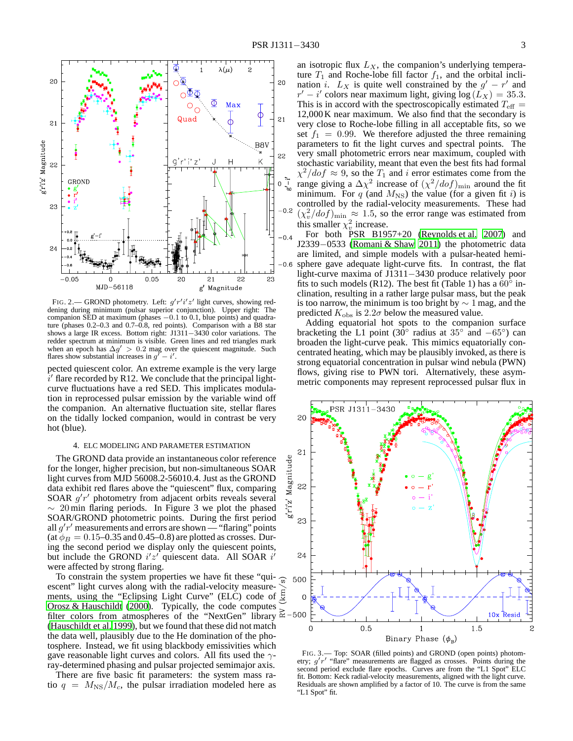

FIG. 2.— GROND photometry. Left:  $g'r'i'z'$  light curves, showing reddening during minimum (pulsar superior conjunction). Upper right: The companion SED at maximum (phases  $-0.1$  to 0.1, blue points) and quadrature (phases 0.2–0.3 and 0.7–0.8, red points). Comparison with a B8 star shows a large IR excess. Bottom right: J1311−3430 color variations. The redder spectrum at minimum is visible. Green lines and red triangles mark when an epoch has  $\Delta g' > 0.2$  mag over the quiescent magnitude. Such flares show substantial increases in  $g^{\gamma} - i^{\prime}$ .

pected quiescent color. An extreme example is the very large  $\vec{i}'$  flare recorded by R12. We conclude that the principal lightcurve fluctuations have a red SED. This implicates modulation in reprocessed pulsar emission by the variable wind off the companion. An alternative fluctuation site, stellar flares on the tidally locked companion, would in contrast be very hot (blue).

### 4. ELC MODELING AND PARAMETER ESTIMATION

The GROND data provide an instantaneous color reference for the longer, higher precision, but non-simultaneous SOAR light curves from MJD 56008.2-56010.4. Just as the GROND data exhibit red flares above the "quiescent" flux, comparing SOAR  $g'r'$  photometry from adjacent orbits reveals several  $\sim 20$  min flaring periods. In Figure 3 we plot the phased SOAR/GROND photometric points. During the first period all  $g'r'$  measurements and errors are shown — "flaring" points (at  $\phi_B = 0.15$ –0.35 and 0.45–0.8) are plotted as crosses. During the second period we display only the quiescent points, but include the GROND  $i'z'$  quiescent data. All SOAR  $i'$ were affected by strong flaring.

To constrain the system properties we have fit these "qui- $\frac{1}{\infty}$ " escent" light curves along with the radial-velocity measureescent" light curves along with the radial-velocity measure-<br>ments, using the "Eclipsing Light Curve" (ELC) code of  $\frac{E}{2}$ [Orosz & Hauschildt \(2000](#page-4-10)). Typically, the code computes filter colors from atmospheres of the "NextGen" library  $\approx$  -500 [\(Hauschildt et al. 1999\)](#page-4-11), but we found that these did not match the data well, plausibly due to the He domination of the photosphere. Instead, we fit using blackbody emissivities which gave reasonable light curves and colors. All fits used the  $\gamma$ ray-determined phasing and pulsar projected semimajor axis.

There are five basic fit parameters: the system mass ratio  $q = M_{\text{NS}}/M_c$ , the pulsar irradiation modeled here as

an isotropic flux  $L_X$ , the companion's underlying temperature  $T_1$  and Roche-lobe fill factor  $f_1$ , and the orbital inclination *i*.  $L_X$  is quite well constrained by the  $g' - r'$  and  $r' - i'$  colors near maximum light, giving  $log(L_X) = 35.3$ . This is in accord with the spectroscopically estimated  $T_{\text{eff}} =$ 12,000 K near maximum. We also find that the secondary is very close to Roche-lobe filling in all acceptable fits, so we set  $f_1 = 0.99$ . We therefore adjusted the three remaining parameters to fit the light curves and spectral points. The very small photometric errors near maximum, coupled with stochastic variability, meant that even the best fits had formal  $\chi^2/dof \approx 9$ , so the  $T_1$  and i error estimates come from the range giving a  $\Delta \chi^2$  increase of  $(\chi^2/dof)_{\text{min}}$  around the fit minimum. For q (and  $M_{\text{NS}}$ ) the value (for a given fit i) is controlled by the radial-velocity measurements. These had  $(\chi_v^2/dof)_{\text{min}} \approx 1.5$ , so the error range was estimated from this smaller  $\chi_v^2$  increase.

For both PSR B1957+20 [\(Reynolds et al. 2007\)](#page-4-12) and J2339−0533 [\(Romani & Shaw 2011\)](#page-4-6) the photometric data are limited, and simple models with a pulsar-heated hemisphere gave adequate light-curve fits. In contrast, the flat light-curve maxima of J1311−3430 produce relatively poor fits to such models (R12). The best fit (Table 1) has a  $60^{\circ}$  inclination, resulting in a rather large pulsar mass, but the peak is too narrow, the minimum is too bright by  $\sim 1$  mag, and the predicted  $K_{\rm obs}$  is 2.2 $\sigma$  below the measured value.

Adding equatorial hot spots to the companion surface bracketing the L1 point (30<sup>°</sup> radius at 35<sup>°</sup> and  $-65^\circ$ ) can broaden the light-curve peak. This mimics equatorially concentrated heating, which may be plausibly invoked, as there is strong equatorial concentration in pulsar wind nebula (PWN) flows, giving rise to PWN tori. Alternatively, these asymmetric components may represent reprocessed pulsar flux in



FIG. 3.— Top: SOAR (filled points) and GROND (open points) photometry;  $g'r'$  "flare" measurements are flagged as crosses. Points during the second period exclude flare epochs. Curves are from the "L1 Spot" ELC fit. Bottom: Keck radial-velocity measurements, aligned with the light curve. Residuals are shown amplified by a factor of 10. The curve is from the same "L1 Spot" fit.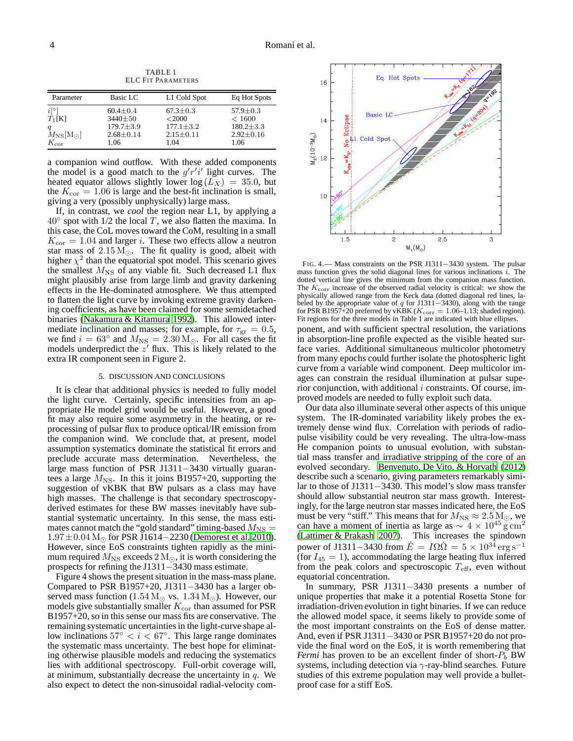TABLE 1 ELC FIT PARAMETERS

| Parameter                                                                                        | Basic LC                                                                    | L1 Cold Spot                                                             | Eq Hot Spots                                                         |
|--------------------------------------------------------------------------------------------------|-----------------------------------------------------------------------------|--------------------------------------------------------------------------|----------------------------------------------------------------------|
| $i^{\circ}$<br>$T_1[K]$<br>a<br>$M_{\rm NS}$ [M <sub><math>\odot</math></sub> ]<br>$K_{\rm cor}$ | $60.4 \pm 0.4$<br>$3440 \pm 50$<br>$179.7 + 3.9$<br>$2.68 \pm 0.14$<br>1.06 | $67.3 \pm 0.3$<br>$<$ 2000<br>$177.1 \pm 3.2$<br>$2.15 \pm 0.11$<br>1.04 | $57.9 \pm 0.3$<br>< 1600<br>$180.2 + 3.3$<br>$2.92 \pm 0.16$<br>1.06 |

a companion wind outflow. With these added components the model is a good match to the  $g'r'i'$  light curves. The heated equator allows slightly lower  $log(L_X) = 35.0$ , but the  $K_{\rm cor} = 1.06$  is large and the best-fit inclination is small, giving a very (possibly unphysically) large mass.

If, in contrast, we *cool* the region near L1, by applying a  $40^\circ$  spot with  $1/2$  the local T, we also flatten the maxima. In this case, the CoL moves toward the CoM, resulting in a small  $K_{\text{cor}} = 1.04$  and larger *i*. These two effects allow a neutron star mass of  $2.15 \,\mathrm{M}_{\odot}$ . The fit quality is good, albeit with higher  $\chi^2$  than the equatorial spot model. This scenario gives the smallest  $M_{\text{NS}}$  of any viable fit. Such decreased L1 flux might plausibly arise from large limb and gravity darkening effects in the He-dominated atmosphere. We thus attempted to flatten the light curve by invoking extreme gravity darkening coefficients, as have been claimed for some semidetached binaries [\(Nakamura & Kitamura 1992\)](#page-4-13). This allowed intermediate inclination and masses; for example, for  $\tau_{gr} = 0.5$ , we find  $i = 63^\circ$  and  $M_{\text{NS}} = 2.30 \,\text{M}_\odot$ . For all cases the fit models underpredict the  $z'$  flux. This is likely related to the extra IR component seen in Figure 2.

### 5. DISCUSSION AND CONCLUSIONS

It is clear that additional physics is needed to fully model the light curve. Certainly, specific intensities from an appropriate He model grid would be useful. However, a good fit may also require some asymmetry in the heating, or reprocessing of pulsar flux to produce optical/IR emission from the companion wind. We conclude that, at present, model assumption systematics dominate the statistical fit errors and preclude accurate mass determination. Nevertheless, the large mass function of PSR J1311−3430 virtually guarantees a large  $M_{\text{NS}}$ . In this it joins B1957+20, supporting the suggestion of vKBK that BW pulsars as a class may have high masses. The challenge is that secondary spectroscopyderived estimates for these BW masses inevitably have substantial systematic uncertainty. In this sense, the mass estimates cannot match the "gold standard" timing-based  $M_{\text{NS}} =$  $1.97 \pm 0.04$  M<sub>☉</sub> for PSR J1614–2230 [\(Demorest et al. 2010\)](#page-4-14). However, since EoS constraints tighten rapidly as the minimum required  $M_{\rm NS}$  exceeds  $2\,\rm M_\odot$ , it is worth considering the prospects for refining the J1311−3430 mass estimate.

Figure 4 shows the present situation in the mass-mass plane. Compared to PSR B1957+20, J1311−3430 has a larger observed mass function (1.54 M<sub>☉</sub> vs.  $1.34 M_{\odot}$ ). However, our models give substantially smaller  $K_{\text{cor}}$  than assumed for PSR B1957+20, so in this sense our mass fits are conservative. The remaining systematic uncertainties in the light-curve shape allow inclinations  $57° < i < 67°$ . This large range dominates the systematic mass uncertainty. The best hope for eliminating otherwise plausible models and reducing the systematics lies with additional spectroscopy. Full-orbit coverage will, at minimum, substantially decrease the uncertainty in  $q$ . We also expect to detect the non-sinusoidal radial-velocity com-



FIG. 4.— Mass constraints on the PSR J1311−3430 system. The pulsar mass function gives the solid diagonal lines for various inclinations  $\hat{i}$ . The dotted vertical line gives the minimum from the companion mass function. The  $K_{\text{corr}}$  increase of the observed radial velocity is critical: we show the physically allowed range from the Keck data (dotted diagonal red lines, labeled by the appropriate value of q for J1311−3430), along with the range for PSR B1957+20 preferred by vKBK ( $K_{\text{corr}} = 1.06-1.13$ ; shaded region). Fit regions for the three models in Table 1 are indicated with blue ellipses. ponent, and with sufficient spectral resolution, the variations in absorption-line profile expected as the visible heated surface varies. Additional simultaneous multicolor photometry from many epochs could further isolate the photospheric light curve from a variable wind component. Deep multicolor images can constrain the residual illumination at pulsar superior conjunction, with additional  $i$  constraints. Of course, improved models are needed to fully exploit such data.

Our data also illuminate several other aspects of this unique system. The IR-dominated variability likely probes the extremely dense wind flux. Correlation with periods of radiopulse visibility could be very revealing. The ultra-low-mass He companion points to unusual evolution, with substantial mass transfer and irradiative stripping of the core of an evolved secondary. [Benvenuto, De Vito, & Horvath](#page-4-15) [\(2012\)](#page-4-15) describe such a scenario, giving parameters remarkably similar to those of J1311−3430. This model's slow mass transfer should allow substantial neutron star mass growth. Interestingly, for the large neutron star masses indicated here, the EoS must be very "stiff." This means that for  $M_{\text{NS}} \approx 2.5 \,\text{M}_\odot$ , we can have a moment of inertia as large as  $\sim 4 \times 10^{45}$  g cm<sup>2</sup> [\(Lattimer & Prakash 2007\)](#page-4-16). This increases the spindown power of J1311−3430 from  $\dot{E} = I\Omega \dot{\Omega} = 5 \times 10^{34} \text{ erg s}^{-1}$ (for  $I_{45} = 1$ ), accommodating the large heating flux inferred from the peak colors and spectroscopic  $T_{\text{eff}}$ , even without equatorial concentration.

In summary, PSR J1311−3430 presents a number of unique properties that make it a potential Rosetta Stone for irradiation-driven evolution in tight binaries. If we can reduce the allowed model space, it seems likely to provide some of the most important constraints on the EoS of dense matter. And, even if PSR J1311−3430 or PSR B1957+20 do not provide the final word on the EoS, it is worth remembering that *Fermi* has proven to be an excellent finder of short- $P_b$  BW systems, including detection via  $\gamma$ -ray-blind searches. Future studies of this extreme population may well provide a bulletproof case for a stiff EoS.